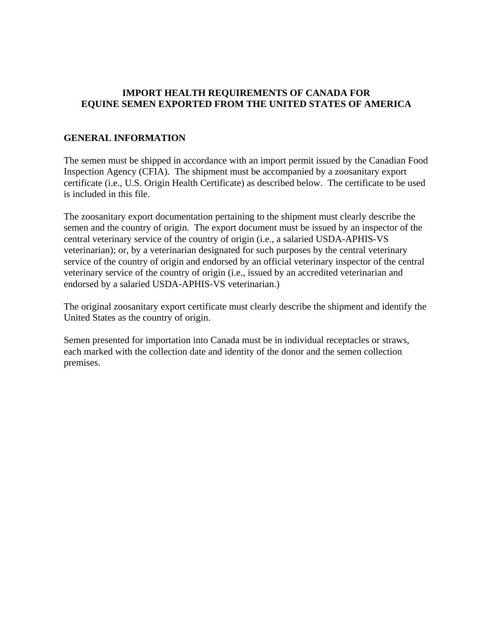### **IMPORT HEALTH REQUIREMENTS OF CANADA FOR EQUINE SEMEN EXPORTED FROM THE UNITED STATES OF AMERICA**

#### **GENERAL INFORMATION**

The semen must be shipped in accordance with an import permit issued by the Canadian Food Inspection Agency (CFIA). The shipment must be accompanied by a zoosanitary export certificate (i.e., U.S. Origin Health Certificate) as described below. The certificate to be used is included in this file.

The zoosanitary export documentation pertaining to the shipment must clearly describe the semen and the country of origin. The export document must be issued by an inspector of the central veterinary service of the country of origin (i.e., a salaried USDA-APHIS-VS veterinarian); or, by a veterinarian designated for such purposes by the central veterinary service of the country of origin and endorsed by an official veterinary inspector of the central veterinary service of the country of origin (i.e., issued by an accredited veterinarian and endorsed by a salaried USDA-APHIS-VS veterinarian.)

The original zoosanitary export certificate must clearly describe the shipment and identify the United States as the country of origin.

Semen presented for importation into Canada must be in individual receptacles or straws, each marked with the collection date and identity of the donor and the semen collection premises.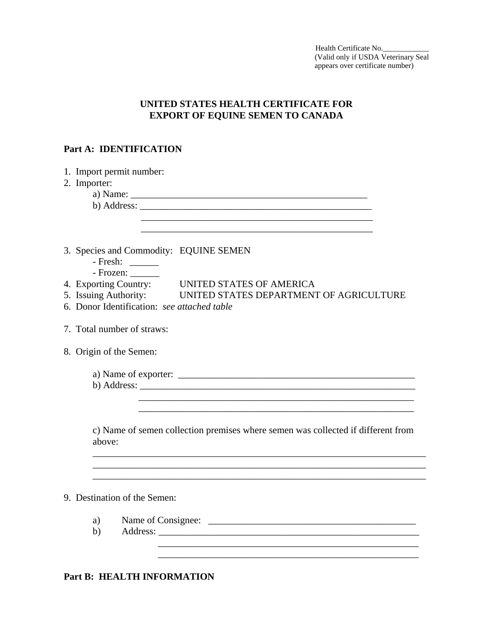Health Certificate No. (Valid only if USDA Veterinary Seal appears over certificate number)

## **UNITED STATES HEALTH CERTIFICATE FOR EXPORT OF EQUINE SEMEN TO CANADA**

#### **Part A: IDENTIFICATION**

|                              | 1. Import permit number:                                                                                                 |  |  |  |  |  |
|------------------------------|--------------------------------------------------------------------------------------------------------------------------|--|--|--|--|--|
|                              | 2. Importer:                                                                                                             |  |  |  |  |  |
|                              |                                                                                                                          |  |  |  |  |  |
|                              |                                                                                                                          |  |  |  |  |  |
|                              |                                                                                                                          |  |  |  |  |  |
|                              |                                                                                                                          |  |  |  |  |  |
|                              |                                                                                                                          |  |  |  |  |  |
|                              | 3. Species and Commodity: EQUINE SEMEN                                                                                   |  |  |  |  |  |
|                              | - Fresh: $\frac{1}{\sqrt{1-\frac{1}{2}}\sqrt{1-\frac{1}{2}}\sqrt{1-\frac{1}{2}}\sqrt{1-\frac{1}{2}}\sqrt{1-\frac{1}{2}}$ |  |  |  |  |  |
|                              | $-$ Frozen: $\_\_$                                                                                                       |  |  |  |  |  |
|                              | 4. Exporting Country: UNITED STATES OF AMERICA                                                                           |  |  |  |  |  |
|                              | 5. Issuing Authority: UNITED STATES DEPARTMENT OF AGRICULTURE                                                            |  |  |  |  |  |
|                              | 6. Donor Identification: see attached table                                                                              |  |  |  |  |  |
|                              |                                                                                                                          |  |  |  |  |  |
|                              | 7. Total number of straws:                                                                                               |  |  |  |  |  |
|                              |                                                                                                                          |  |  |  |  |  |
|                              | 8. Origin of the Semen:                                                                                                  |  |  |  |  |  |
|                              |                                                                                                                          |  |  |  |  |  |
|                              |                                                                                                                          |  |  |  |  |  |
|                              |                                                                                                                          |  |  |  |  |  |
|                              |                                                                                                                          |  |  |  |  |  |
|                              |                                                                                                                          |  |  |  |  |  |
|                              |                                                                                                                          |  |  |  |  |  |
|                              | c) Name of semen collection premises where semen was collected if different from                                         |  |  |  |  |  |
|                              | above:                                                                                                                   |  |  |  |  |  |
|                              |                                                                                                                          |  |  |  |  |  |
|                              |                                                                                                                          |  |  |  |  |  |
|                              |                                                                                                                          |  |  |  |  |  |
|                              |                                                                                                                          |  |  |  |  |  |
| 9. Destination of the Semen: |                                                                                                                          |  |  |  |  |  |
|                              |                                                                                                                          |  |  |  |  |  |
|                              | a)                                                                                                                       |  |  |  |  |  |
|                              | b)                                                                                                                       |  |  |  |  |  |
|                              |                                                                                                                          |  |  |  |  |  |
|                              |                                                                                                                          |  |  |  |  |  |

 $\overline{\phantom{a}}$  ,  $\overline{\phantom{a}}$  ,  $\overline{\phantom{a}}$  ,  $\overline{\phantom{a}}$  ,  $\overline{\phantom{a}}$  ,  $\overline{\phantom{a}}$  ,  $\overline{\phantom{a}}$  ,  $\overline{\phantom{a}}$  ,  $\overline{\phantom{a}}$  ,  $\overline{\phantom{a}}$  ,  $\overline{\phantom{a}}$  ,  $\overline{\phantom{a}}$  ,  $\overline{\phantom{a}}$  ,  $\overline{\phantom{a}}$  ,  $\overline{\phantom{a}}$  ,  $\overline{\phantom{a}}$ 

### **Part B: HEALTH INFORMATION**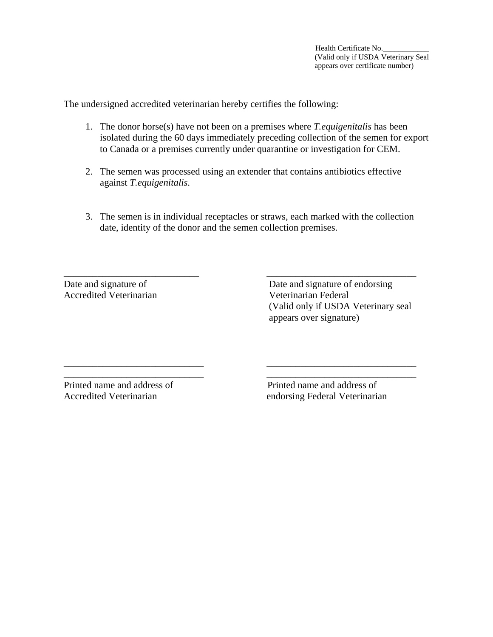The undersigned accredited veterinarian hereby certifies the following:

- 1. The donor horse(s) have not been on a premises where *T.equigenitalis* has been isolated during the 60 days immediately preceding collection of the semen for export to Canada or a premises currently under quarantine or investigation for CEM.
- 2. The semen was processed using an extender that contains antibiotics effective against *T.equigenitalis*.
- 3. The semen is in individual receptacles or straws, each marked with the collection date, identity of the donor and the semen collection premises.

\_\_\_\_\_\_\_\_\_\_\_\_\_\_\_\_\_\_\_\_\_\_\_\_\_\_\_\_ \_\_\_\_\_\_\_\_\_\_\_\_\_\_\_\_\_\_\_\_\_\_\_\_\_\_\_\_\_\_\_

\_\_\_\_\_\_\_\_\_\_\_\_\_\_\_\_\_\_\_\_\_\_\_\_\_\_\_\_\_ \_\_\_\_\_\_\_\_\_\_\_\_\_\_\_\_\_\_\_\_\_\_\_\_\_\_\_\_\_\_\_ \_\_\_\_\_\_\_\_\_\_\_\_\_\_\_\_\_\_\_\_\_\_\_\_\_\_\_\_\_ \_\_\_\_\_\_\_\_\_\_\_\_\_\_\_\_\_\_\_\_\_\_\_\_\_\_\_\_\_\_\_

Accredited Veterinarian Veterinarian Federal

Date and signature of Date and signature of endorsing (Valid only if USDA Veterinary seal appears over signature)

Printed name and address of Printed name and address of Accredited Veterinarian endorsing Federal Veterinarian